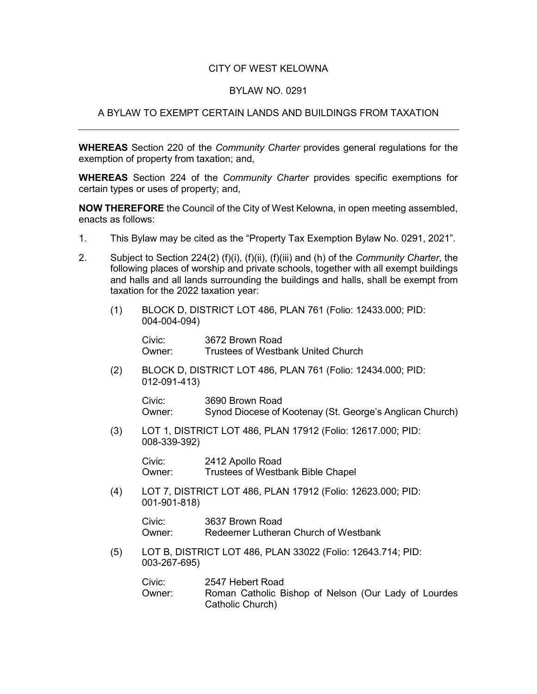## CITY OF WEST KELOWNA

## BYLAW NO. 0291

## A BYLAW TO EXEMPT CERTAIN LANDS AND BUILDINGS FROM TAXATION

**WHEREAS** Section 220 of the *Community Charter* provides general regulations for the exemption of property from taxation; and,

**WHEREAS** Section 224 of the *Community Charter* provides specific exemptions for certain types or uses of property; and,

**NOW THEREFORE** the Council of the City of West Kelowna, in open meeting assembled, enacts as follows:

- 1. This Bylaw may be cited as the "Property Tax Exemption Bylaw No. 0291, 2021".
- 2. Subject to Section 224(2) (f)(i), (f)(ii), (f)(iii) and (h) of the *Community Charter*, the following places of worship and private schools, together with all exempt buildings and halls and all lands surrounding the buildings and halls, shall be exempt from taxation for the 2022 taxation year:
	- (1) BLOCK D, DISTRICT LOT 486, PLAN 761 (Folio: 12433.000; PID: 004-004-094)

Civic: 3672 Brown Road Owner: Trustees of Westbank United Church

(2) BLOCK D, DISTRICT LOT 486, PLAN 761 (Folio: 12434.000; PID: 012-091-413)

Civic: 3690 Brown Road Owner: Synod Diocese of Kootenay (St. George's Anglican Church)

(3) LOT 1, DISTRICT LOT 486, PLAN 17912 (Folio: 12617.000; PID: 008-339-392)

> Civic: 2412 Apollo Road Owner: Trustees of Westbank Bible Chapel

(4) LOT 7, DISTRICT LOT 486, PLAN 17912 (Folio: 12623.000; PID: 001-901-818)

> Civic: 3637 Brown Road Owner: Redeemer Lutheran Church of Westbank

(5) LOT B, DISTRICT LOT 486, PLAN 33022 (Folio: 12643.714; PID: 003-267-695)

| Civic: | 2547 Hebert Road                                     |
|--------|------------------------------------------------------|
| Owner: | Roman Catholic Bishop of Nelson (Our Lady of Lourdes |
|        | Catholic Church)                                     |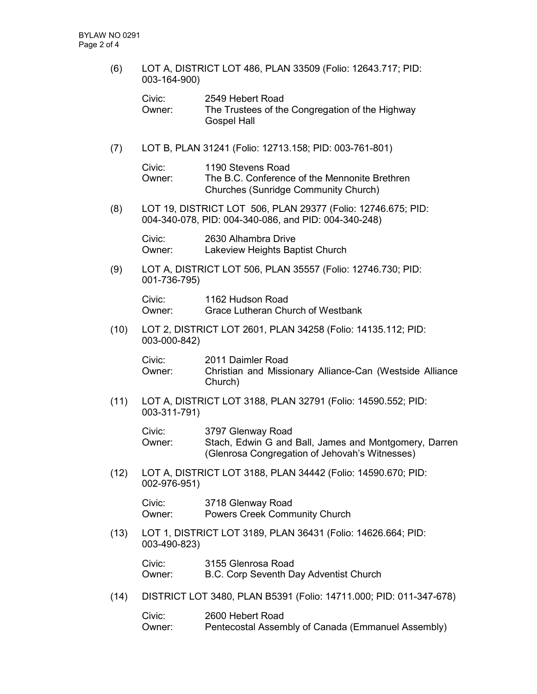(6) LOT A, DISTRICT LOT 486, PLAN 33509 (Folio: 12643.717; PID: 003-164-900)

| Civic: | 2549 Hebert Road                                |
|--------|-------------------------------------------------|
| Owner: | The Trustees of the Congregation of the Highway |
|        | <b>Gospel Hall</b>                              |

(7) LOT B, PLAN 31241 (Folio: 12713.158; PID: 003-761-801)

Civic: 1190 Stevens Road Owner: The B.C. Conference of the Mennonite Brethren Churches (Sunridge Community Church)

(8) LOT 19, DISTRICT LOT 506, PLAN 29377 (Folio: 12746.675; PID: 004-340-078, PID: 004-340-086, and PID: 004-340-248)

Civic: 2630 Alhambra Drive Owner: Lakeview Heights Baptist Church

(9) LOT A, DISTRICT LOT 506, PLAN 35557 (Folio: 12746.730; PID: 001-736-795)

> Civic: 1162 Hudson Road Owner: Grace Lutheran Church of Westbank

(10) LOT 2, DISTRICT LOT 2601, PLAN 34258 (Folio: 14135.112; PID: 003-000-842)

> Civic: 2011 Daimler Road Owner: Christian and Missionary Alliance-Can (Westside Alliance Church)

(11) LOT A, DISTRICT LOT 3188, PLAN 32791 (Folio: 14590.552; PID: 003-311-791)

> Civic: 3797 Glenway Road Owner: Stach, Edwin G and Ball, James and Montgomery, Darren (Glenrosa Congregation of Jehovah's Witnesses)

(12) LOT A, DISTRICT LOT 3188, PLAN 34442 (Folio: 14590.670; PID: 002-976-951)

> Civic: 3718 Glenway Road Owner: Powers Creek Community Church

(13) LOT 1, DISTRICT LOT 3189, PLAN 36431 (Folio: 14626.664; PID: 003-490-823)

> Civic: 3155 Glenrosa Road Owner: B.C. Corp Seventh Day Adventist Church

(14) DISTRICT LOT 3480, PLAN B5391 (Folio: 14711.000; PID: 011-347-678)

Civic: 2600 Hebert Road Owner: Pentecostal Assembly of Canada (Emmanuel Assembly)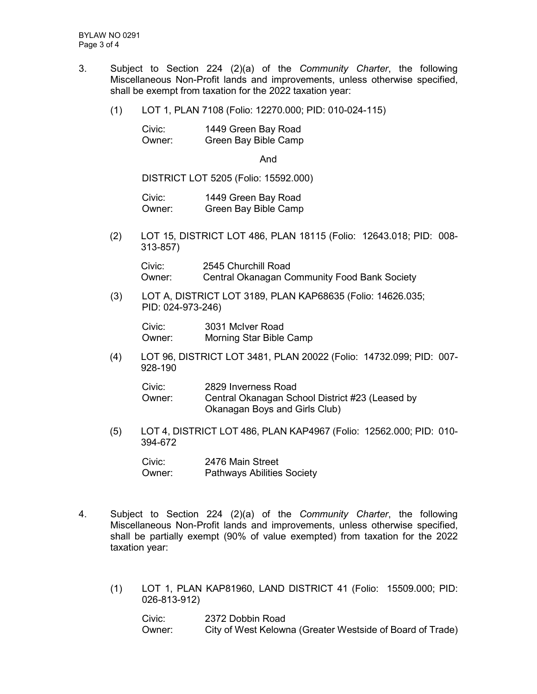- 3. Subject to Section 224 (2)(a) of the *Community Charter*, the following Miscellaneous Non-Profit lands and improvements, unless otherwise specified, shall be exempt from taxation for the 2022 taxation year:
	- (1) LOT 1, PLAN 7108 (Folio: 12270.000; PID: 010-024-115)

| Civic: | 1449 Green Bay Road  |
|--------|----------------------|
| Owner: | Green Bay Bible Camp |

And

DISTRICT LOT 5205 (Folio: 15592.000)

Civic: 1449 Green Bay Road Owner: Green Bay Bible Camp

(2) LOT 15, DISTRICT LOT 486, PLAN 18115 (Folio: 12643.018; PID: 008- 313-857)

Civic: 2545 Churchill Road Owner: Central Okanagan Community Food Bank Society

(3) LOT A, DISTRICT LOT 3189, PLAN KAP68635 (Folio: 14626.035; PID: 024-973-246)

Civic: 3031 McIver Road Owner: Morning Star Bible Camp

(4) LOT 96, DISTRICT LOT 3481, PLAN 20022 (Folio: 14732.099; PID: 007- 928-190

| Civic: | 2829 Inverness Road                             |
|--------|-------------------------------------------------|
| Owner: | Central Okanagan School District #23 (Leased by |
|        | Okanagan Boys and Girls Club)                   |

(5) LOT 4, DISTRICT LOT 486, PLAN KAP4967 (Folio: 12562.000; PID: 010- 394-672

Civic: 2476 Main Street Owner: Pathways Abilities Society

- 4. Subject to Section 224 (2)(a) of the *Community Charter*, the following Miscellaneous Non-Profit lands and improvements, unless otherwise specified, shall be partially exempt (90% of value exempted) from taxation for the 2022 taxation year:
	- (1) LOT 1, PLAN KAP81960, LAND DISTRICT 41 (Folio: 15509.000; PID: 026-813-912)

Civic: 2372 Dobbin Road Owner: City of West Kelowna (Greater Westside of Board of Trade)